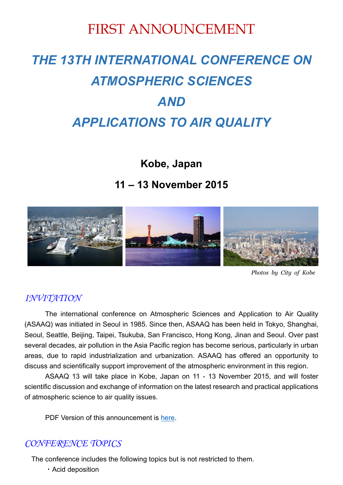## FIRST ANNOUNCEMENT

# *THE 13TH INTERNATIONAL CONFERENCE ON ATMOSPHERIC SCIENCES AND APPLICATIONS TO AIR QUALITY*

**Kobe, Japan** 

## **11 – 13 November 2015**



*Photos by City of Kobe*

#### *INVITATION*

The international conference on Atmospheric Sciences and Application to Air Quality (ASAAQ) was initiated in Seoul in 1985. Since then, ASAAQ has been held in Tokyo, Shanghai, Seoul, Seattle, Beijing, Taipei, Tsukuba, San Francisco, Hong Kong, Jinan and Seoul. Over past several decades, air pollution in the Asia Pacific region has become serious, particularly in urban areas, due to rapid industrialization and urbanization. ASAAQ has offered an opportunity to discuss and scientifically support improvement of the atmospheric environment in this region.

ASAAQ 13 will take place in Kobe, Japan on 11 - 13 November 2015, and will foster scientific discussion and exchange of information on the latest research and practical applications of atmospheric science to air quality issues.

PDF Version of this announcement is here.

#### *CONFERENCE TOPICS*

The conference includes the following topics but is not restricted to them.

・Acid deposition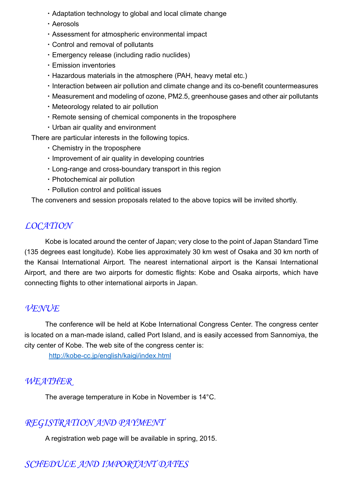- ・Adaptation technology to global and local climate change
- ・Aerosols
- ・Assessment for atmospheric environmental impact
- ・Control and removal of pollutants
- ・Emergency release (including radio nuclides)
- ・Emission inventories
- ・Hazardous materials in the atmosphere (PAH, heavy metal etc.)
- ・Interaction between air pollution and climate change and its co-benefit countermeasures
- ・Measurement and modeling of ozone, PM2.5, greenhouse gases and other air pollutants
- ・Meteorology related to air pollution
- ・Remote sensing of chemical components in the troposphere
- ・Urban air quality and environment

There are particular interests in the following topics.

- ・Chemistry in the troposphere
- ・Improvement of air quality in developing countries
- ・Long-range and cross-boundary transport in this region
- ・Photochemical air pollution
- ・Pollution control and political issues

The conveners and session proposals related to the above topics will be invited shortly.

#### *LOCATION*

Kobe is located around the center of Japan; very close to the point of Japan Standard Time (135 degrees east longitude). Kobe lies approximately 30 km west of Osaka and 30 km north of the Kansai International Airport. The nearest international airport is the Kansai International Airport, and there are two airports for domestic flights: Kobe and Osaka airports, which have connecting flights to other international airports in Japan.

#### *VENUE*

The conference will be held at Kobe International Congress Center. The congress center is located on a man-made island, called Port Island, and is easily accessed from Sannomiya, the city center of Kobe. The web site of the congress center is:

http://kobe-cc.jp/english/kaigi/index.html

#### *WEATHER*

The average temperature in Kobe in November is 14°C.

#### *REGISTRATION AND PAYMENT*

A registration web page will be available in spring, 2015.

## *SCHEDULE AND IMPORTANT DATES*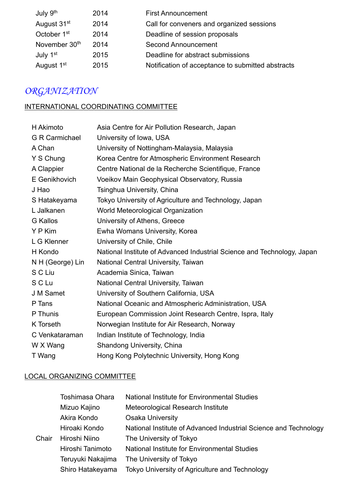| July 9 <sup>th</sup>      | 2014 | <b>First Announcement</b>                         |
|---------------------------|------|---------------------------------------------------|
| August 31 <sup>st</sup>   | 2014 | Call for conveners and organized sessions         |
| October 1 <sup>st</sup>   | 2014 | Deadline of session proposals                     |
| November 30 <sup>th</sup> | 2014 | <b>Second Announcement</b>                        |
| July 1 <sup>st</sup>      | 2015 | Deadline for abstract submissions                 |
| August 1 <sup>st</sup>    | 2015 | Notification of acceptance to submitted abstracts |

## *ORGANIZATION*

#### INTERNATIONAL COORDINATING COMMITTEE

| H Akimoto             | Asia Centre for Air Pollution Research, Japan                           |  |  |
|-----------------------|-------------------------------------------------------------------------|--|--|
| <b>G R Carmichael</b> | University of Iowa, USA                                                 |  |  |
| A Chan                | University of Nottingham-Malaysia, Malaysia                             |  |  |
| Y S Chung             | Korea Centre for Atmospheric Environment Research                       |  |  |
| A Clappier            | Centre National de la Recherche Scientifique, France                    |  |  |
| E Genikhovich         | Voeikov Main Geophysical Observatory, Russia                            |  |  |
| J Hao                 | Tsinghua University, China                                              |  |  |
| S Hatakeyama          | Tokyo University of Agriculture and Technology, Japan                   |  |  |
| L Jalkanen            | World Meteorological Organization                                       |  |  |
| <b>G</b> Kallos       | University of Athens, Greece                                            |  |  |
| Y P Kim               | Ewha Womans University, Korea                                           |  |  |
| L G Klenner           | University of Chile, Chile                                              |  |  |
| H Kondo               | National Institute of Advanced Industrial Science and Technology, Japan |  |  |
| N H (George) Lin      | National Central University, Taiwan                                     |  |  |
| S C Liu               | Academia Sinica, Taiwan                                                 |  |  |
| S C Lu                | National Central University, Taiwan                                     |  |  |
| J M Samet             | University of Southern California, USA                                  |  |  |
| P Tans                | National Oceanic and Atmospheric Administration, USA                    |  |  |
| P Thunis              | European Commission Joint Research Centre, Ispra, Italy                 |  |  |
| K Torseth             | Norwegian Institute for Air Research, Norway                            |  |  |
| C Venkataraman        | Indian Institute of Technology, India                                   |  |  |
| W X Wang              | <b>Shandong University, China</b>                                       |  |  |
| T Wang                | Hong Kong Polytechnic University, Hong Kong                             |  |  |

#### LOCAL ORGANIZING COMMITTEE

|       | <b>Toshimasa Ohara</b>                            | National Institute for Environmental Studies                     |
|-------|---------------------------------------------------|------------------------------------------------------------------|
|       | Mizuo Kajino<br>Meteorological Research Institute |                                                                  |
|       | Akira Kondo                                       | <b>Osaka University</b>                                          |
|       | Hiroaki Kondo                                     | National Institute of Advanced Industrial Science and Technology |
| Chair | Hiroshi Niino                                     | The University of Tokyo                                          |
|       | Hiroshi Tanimoto                                  | National Institute for Environmental Studies                     |
|       | Teruyuki Nakajima                                 | The University of Tokyo                                          |
|       | Shiro Hatakeyama                                  | Tokyo University of Agriculture and Technology                   |